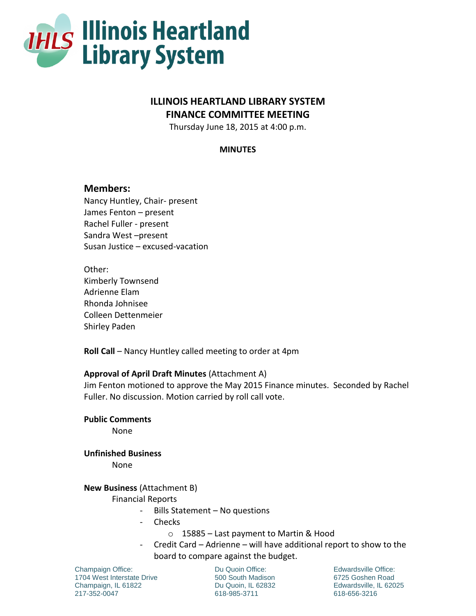

# **ILLINOIS HEARTLAND LIBRARY SYSTEM FINANCE COMMITTEE MEETING**

Thursday June 18, 2015 at 4:00 p.m.

**MINUTES**

## **Members:**

Nancy Huntley, Chair- present James Fenton – present Rachel Fuller - present Sandra West –present Susan Justice – excused-vacation

Other: Kimberly Townsend Adrienne Elam Rhonda Johnisee Colleen Dettenmeier Shirley Paden

**Roll Call** – Nancy Huntley called meeting to order at 4pm

### **Approval of April Draft Minutes** (Attachment A)

Jim Fenton motioned to approve the May 2015 Finance minutes. Seconded by Rachel Fuller. No discussion. Motion carried by roll call vote.

### **Public Comments**

None

# **Unfinished Business**

None

### **New Business** (Attachment B)

### Financial Reports

- Bills Statement No questions
- Checks
	- o 15885 Last payment to Martin & Hood
- Credit Card Adrienne will have additional report to show to the board to compare against the budget.

Champaign Office: 1704 West Interstate Drive Champaign, IL 61822 217-352-0047

Du Quoin Office: 500 South Madison Du Quoin, IL 62832 618-985-3711

Edwardsville Office: 6725 Goshen Road Edwardsville, IL 62025 618-656-3216